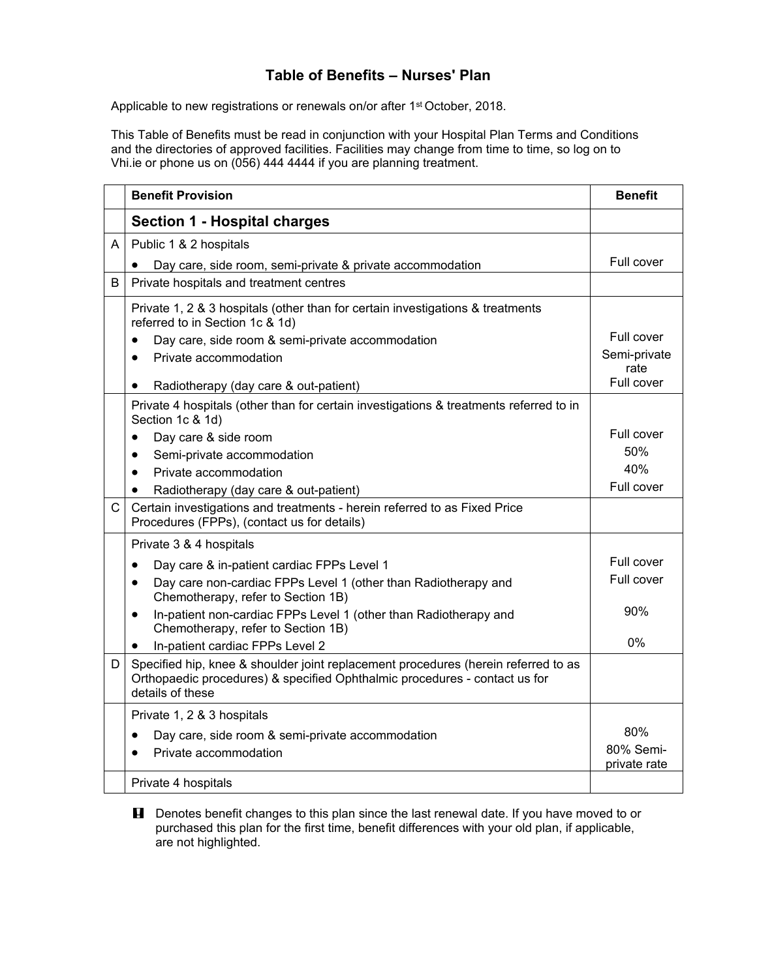## **Table of Benefits – Nurses' Plan**

Applicable to new registrations or renewals on/or after 1<sup>st</sup> October, 2018.

This Table of Benefits must be read in conjunction with your Hospital Plan Terms and Conditions and the directories of approved facilities. Facilities may change from time to time, so log on to Vhi.ie or phone us on (056) 444 4444 if you are planning treatment.

|              | <b>Benefit Provision</b>                                                                                                                                                             | <b>Benefit</b>            |
|--------------|--------------------------------------------------------------------------------------------------------------------------------------------------------------------------------------|---------------------------|
|              | <b>Section 1 - Hospital charges</b>                                                                                                                                                  |                           |
| A            | Public 1 & 2 hospitals                                                                                                                                                               |                           |
|              | Day care, side room, semi-private & private accommodation                                                                                                                            | Full cover                |
| B            | Private hospitals and treatment centres                                                                                                                                              |                           |
|              | Private 1, 2 & 3 hospitals (other than for certain investigations & treatments<br>referred to in Section 1c & 1d)                                                                    |                           |
|              | Day care, side room & semi-private accommodation                                                                                                                                     | Full cover                |
|              | Private accommodation<br>$\bullet$                                                                                                                                                   | Semi-private<br>rate      |
|              | Radiotherapy (day care & out-patient)<br>$\bullet$                                                                                                                                   | Full cover                |
|              | Private 4 hospitals (other than for certain investigations & treatments referred to in<br>Section 1c & 1d)                                                                           |                           |
|              | Day care & side room<br>$\bullet$                                                                                                                                                    | Full cover                |
|              | Semi-private accommodation<br>$\bullet$                                                                                                                                              | 50%                       |
|              | Private accommodation<br>$\bullet$                                                                                                                                                   | 40%                       |
|              | Radiotherapy (day care & out-patient)<br>$\bullet$                                                                                                                                   | Full cover                |
| $\mathsf{C}$ | Certain investigations and treatments - herein referred to as Fixed Price<br>Procedures (FPPs), (contact us for details)                                                             |                           |
|              | Private 3 & 4 hospitals                                                                                                                                                              |                           |
|              | Day care & in-patient cardiac FPPs Level 1<br>$\bullet$                                                                                                                              | Full cover                |
|              | Day care non-cardiac FPPs Level 1 (other than Radiotherapy and<br>٠<br>Chemotherapy, refer to Section 1B)                                                                            | Full cover                |
|              | In-patient non-cardiac FPPs Level 1 (other than Radiotherapy and<br>$\bullet$<br>Chemotherapy, refer to Section 1B)                                                                  | 90%                       |
|              | In-patient cardiac FPPs Level 2<br>$\bullet$                                                                                                                                         | 0%                        |
| D            | Specified hip, knee & shoulder joint replacement procedures (herein referred to as<br>Orthopaedic procedures) & specified Ophthalmic procedures - contact us for<br>details of these |                           |
|              | Private 1, 2 & 3 hospitals                                                                                                                                                           |                           |
|              | Day care, side room & semi-private accommodation<br>٠                                                                                                                                | 80%                       |
|              | Private accommodation<br>$\bullet$                                                                                                                                                   | 80% Semi-<br>private rate |
|              | Private 4 hospitals                                                                                                                                                                  |                           |

**H** Denotes benefit changes to this plan since the last renewal date. If you have moved to or purchased this plan for the first time, benefit differences with your old plan, if applicable, are not highlighted.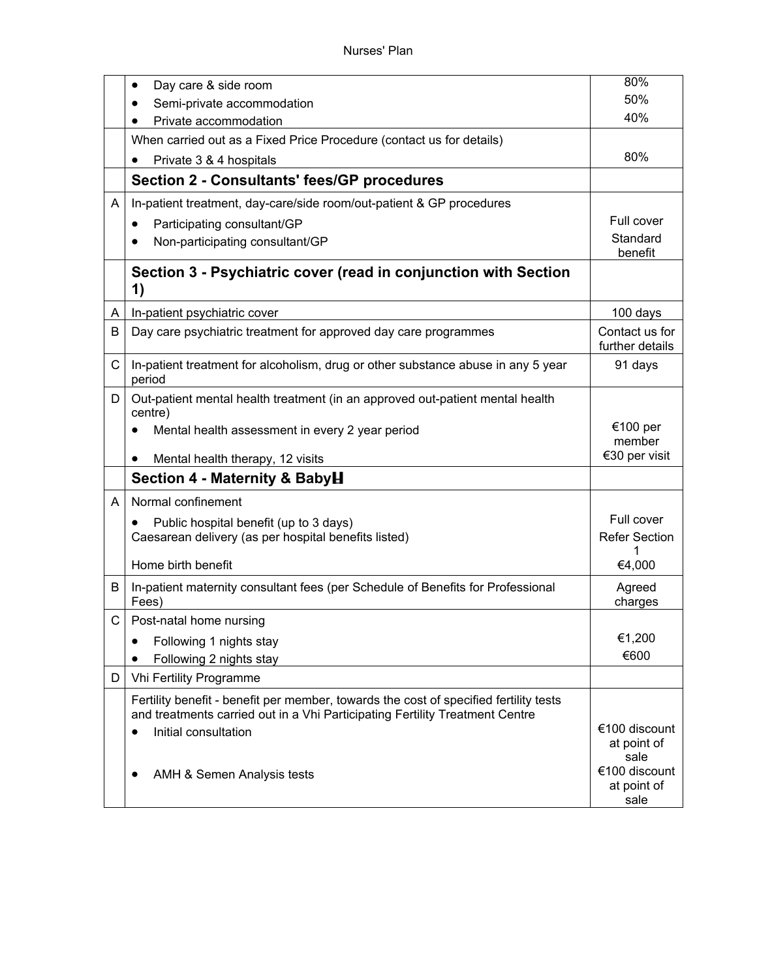|    | Day care & side room                                                                                                                                                  | 80%                                          |
|----|-----------------------------------------------------------------------------------------------------------------------------------------------------------------------|----------------------------------------------|
|    | Semi-private accommodation                                                                                                                                            | 50%                                          |
|    | Private accommodation                                                                                                                                                 | 40%                                          |
|    | When carried out as a Fixed Price Procedure (contact us for details)                                                                                                  |                                              |
|    | Private 3 & 4 hospitals                                                                                                                                               | 80%                                          |
|    | <b>Section 2 - Consultants' fees/GP procedures</b>                                                                                                                    |                                              |
| A  | In-patient treatment, day-care/side room/out-patient & GP procedures                                                                                                  |                                              |
|    | Participating consultant/GP<br>$\bullet$                                                                                                                              | Full cover                                   |
|    | Non-participating consultant/GP<br>٠                                                                                                                                  | Standard<br>benefit                          |
|    | Section 3 - Psychiatric cover (read in conjunction with Section<br>1)                                                                                                 |                                              |
| A  | In-patient psychiatric cover                                                                                                                                          | 100 days                                     |
| B  | Day care psychiatric treatment for approved day care programmes                                                                                                       | Contact us for<br>further details            |
| C  | In-patient treatment for alcoholism, drug or other substance abuse in any 5 year<br>period                                                                            | 91 days                                      |
| D  | Out-patient mental health treatment (in an approved out-patient mental health<br>centre)                                                                              |                                              |
|    | Mental health assessment in every 2 year period<br>Mental health therapy, 12 visits                                                                                   | €100 per<br>member<br>€30 per visit          |
|    | Section 4 - Maternity & BabyH                                                                                                                                         |                                              |
| A  | Normal confinement                                                                                                                                                    |                                              |
|    | Public hospital benefit (up to 3 days)                                                                                                                                | Full cover                                   |
|    | Caesarean delivery (as per hospital benefits listed)                                                                                                                  | <b>Refer Section</b>                         |
|    | Home birth benefit                                                                                                                                                    | 1<br>€4,000                                  |
| B  | In-patient maternity consultant fees (per Schedule of Benefits for Professional<br>Fees)                                                                              | Agreed<br>charges                            |
| C. | Post-natal home nursing                                                                                                                                               |                                              |
|    | Following 1 nights stay                                                                                                                                               | €1,200                                       |
|    | Following 2 nights stay                                                                                                                                               | €600                                         |
| D. | Vhi Fertility Programme                                                                                                                                               |                                              |
|    | Fertility benefit - benefit per member, towards the cost of specified fertility tests<br>and treatments carried out in a Vhi Participating Fertility Treatment Centre |                                              |
|    | Initial consultation                                                                                                                                                  | €100 discount<br>at point of                 |
|    | AMH & Semen Analysis tests                                                                                                                                            | sale<br>€100 discount<br>at point of<br>sale |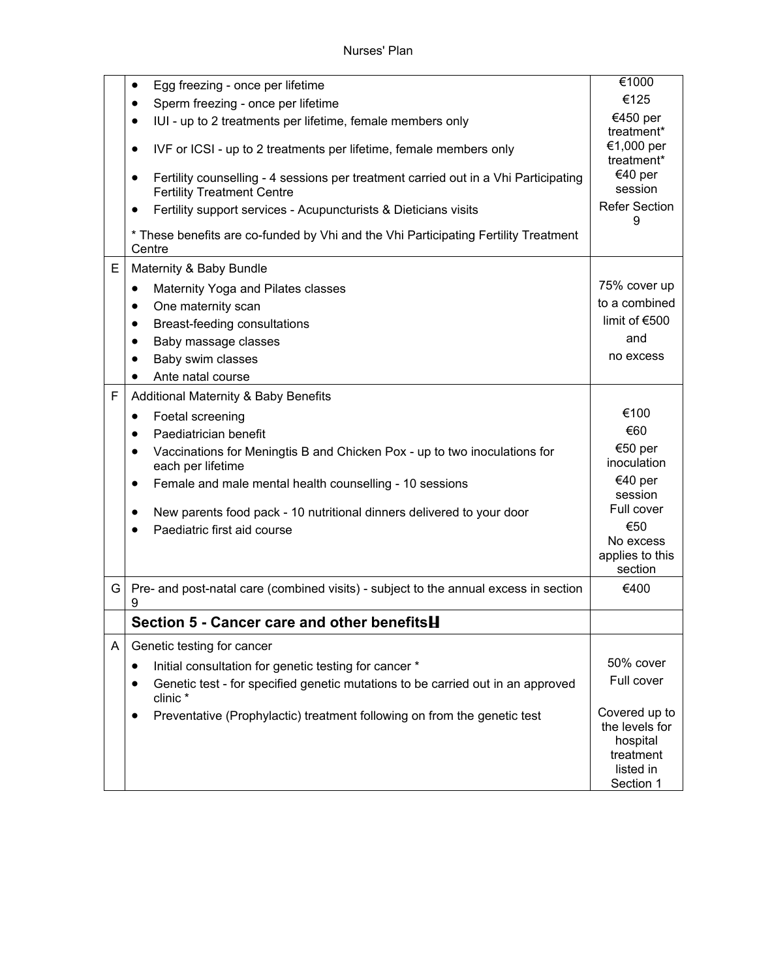|   | Egg freezing - once per lifetime<br>٠                                                                                    | €1000                                                                              |
|---|--------------------------------------------------------------------------------------------------------------------------|------------------------------------------------------------------------------------|
|   | Sperm freezing - once per lifetime<br>$\bullet$                                                                          | €125                                                                               |
|   | IUI - up to 2 treatments per lifetime, female members only                                                               | €450 per<br>treatment*                                                             |
|   | IVF or ICSI - up to 2 treatments per lifetime, female members only<br>٠                                                  | €1,000 per<br>treatment*                                                           |
|   | Fertility counselling - 4 sessions per treatment carried out in a Vhi Participating<br><b>Fertility Treatment Centre</b> | €40 per<br>session                                                                 |
|   | Fertility support services - Acupuncturists & Dieticians visits                                                          | <b>Refer Section</b><br>9                                                          |
|   | * These benefits are co-funded by Vhi and the Vhi Participating Fertility Treatment<br>Centre                            |                                                                                    |
| E | Maternity & Baby Bundle                                                                                                  |                                                                                    |
|   | Maternity Yoga and Pilates classes<br>٠                                                                                  | 75% cover up                                                                       |
|   | One maternity scan<br>٠                                                                                                  | to a combined                                                                      |
|   | Breast-feeding consultations<br>٠                                                                                        | limit of $€500$                                                                    |
|   | Baby massage classes                                                                                                     | and                                                                                |
|   | Baby swim classes                                                                                                        | no excess                                                                          |
|   | Ante natal course                                                                                                        |                                                                                    |
| F | Additional Maternity & Baby Benefits                                                                                     |                                                                                    |
|   | Foetal screening<br>٠                                                                                                    | €100                                                                               |
|   | Paediatrician benefit<br>٠                                                                                               | €60                                                                                |
|   | Vaccinations for Meningtis B and Chicken Pox - up to two inoculations for<br>each per lifetime                           | €50 per<br>inoculation                                                             |
|   | Female and male mental health counselling - 10 sessions<br>$\bullet$                                                     | €40 per<br>session                                                                 |
|   | New parents food pack - 10 nutritional dinners delivered to your door<br>Paediatric first aid course                     | Full cover<br>€50<br>No excess<br>applies to this<br>section                       |
| G | Pre- and post-natal care (combined visits) - subject to the annual excess in section<br>9                                | €400                                                                               |
|   | Section 5 - Cancer care and other benefitsH                                                                              |                                                                                    |
| A | Genetic testing for cancer                                                                                               |                                                                                    |
|   | Initial consultation for genetic testing for cancer *                                                                    | 50% cover                                                                          |
|   | Genetic test - for specified genetic mutations to be carried out in an approved<br>clinic*                               | Full cover                                                                         |
|   | Preventative (Prophylactic) treatment following on from the genetic test                                                 | Covered up to<br>the levels for<br>hospital<br>treatment<br>listed in<br>Section 1 |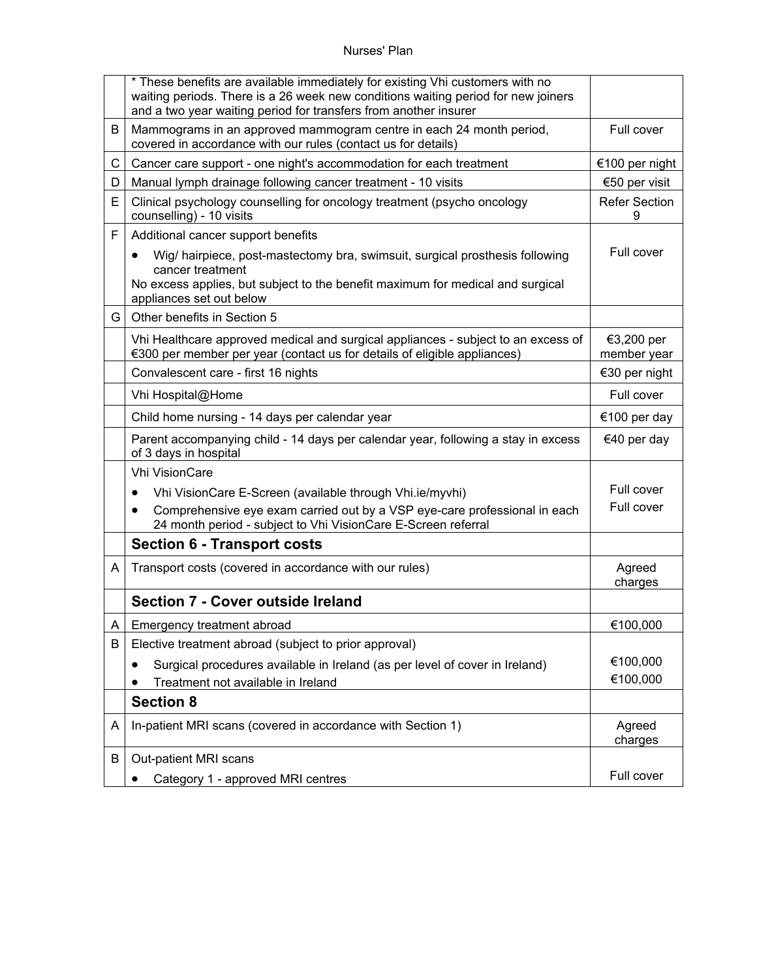## Nurses' Plan

|   | * These benefits are available immediately for existing Vhi customers with no<br>waiting periods. There is a 26 week new conditions waiting period for new joiners<br>and a two year waiting period for transfers from another insurer |                           |
|---|----------------------------------------------------------------------------------------------------------------------------------------------------------------------------------------------------------------------------------------|---------------------------|
| B | Mammograms in an approved mammogram centre in each 24 month period,<br>covered in accordance with our rules (contact us for details)                                                                                                   | Full cover                |
| C | Cancer care support - one night's accommodation for each treatment                                                                                                                                                                     | €100 per night            |
| D | Manual lymph drainage following cancer treatment - 10 visits                                                                                                                                                                           | €50 per visit             |
| E | Clinical psychology counselling for oncology treatment (psycho oncology<br>counselling) - 10 visits                                                                                                                                    | <b>Refer Section</b>      |
| F | Additional cancer support benefits                                                                                                                                                                                                     |                           |
|   | Wig/ hairpiece, post-mastectomy bra, swimsuit, surgical prosthesis following<br>٠<br>cancer treatment<br>No excess applies, but subject to the benefit maximum for medical and surgical<br>appliances set out below                    | Full cover                |
| G | Other benefits in Section 5                                                                                                                                                                                                            |                           |
|   | Vhi Healthcare approved medical and surgical appliances - subject to an excess of<br>€300 per member per year (contact us for details of eligible appliances)                                                                          | €3,200 per<br>member year |
|   | Convalescent care - first 16 nights                                                                                                                                                                                                    | €30 per night             |
|   | Vhi Hospital@Home                                                                                                                                                                                                                      | Full cover                |
|   | Child home nursing - 14 days per calendar year                                                                                                                                                                                         | €100 per day              |
|   | Parent accompanying child - 14 days per calendar year, following a stay in excess<br>of 3 days in hospital                                                                                                                             | €40 per day               |
|   | <b>Vhi VisionCare</b>                                                                                                                                                                                                                  |                           |
|   | Vhi VisionCare E-Screen (available through Vhi.ie/myvhi)<br>$\bullet$                                                                                                                                                                  | Full cover                |
|   | Comprehensive eye exam carried out by a VSP eye-care professional in each<br>$\bullet$<br>24 month period - subject to Vhi VisionCare E-Screen referral                                                                                | Full cover                |
|   | <b>Section 6 - Transport costs</b>                                                                                                                                                                                                     |                           |
| A | Transport costs (covered in accordance with our rules)                                                                                                                                                                                 | Agreed<br>charges         |
|   | Section 7 - Cover outside Ireland                                                                                                                                                                                                      |                           |
| A | Emergency treatment abroad                                                                                                                                                                                                             | €100,000                  |
| B | Elective treatment abroad (subject to prior approval)                                                                                                                                                                                  |                           |
|   | Surgical procedures available in Ireland (as per level of cover in Ireland)<br>٠                                                                                                                                                       | €100,000                  |
|   | Treatment not available in Ireland                                                                                                                                                                                                     | €100,000                  |
|   | <b>Section 8</b>                                                                                                                                                                                                                       |                           |
| A | In-patient MRI scans (covered in accordance with Section 1)                                                                                                                                                                            | Agreed<br>charges         |
| В | Out-patient MRI scans                                                                                                                                                                                                                  |                           |
|   | Category 1 - approved MRI centres                                                                                                                                                                                                      | Full cover                |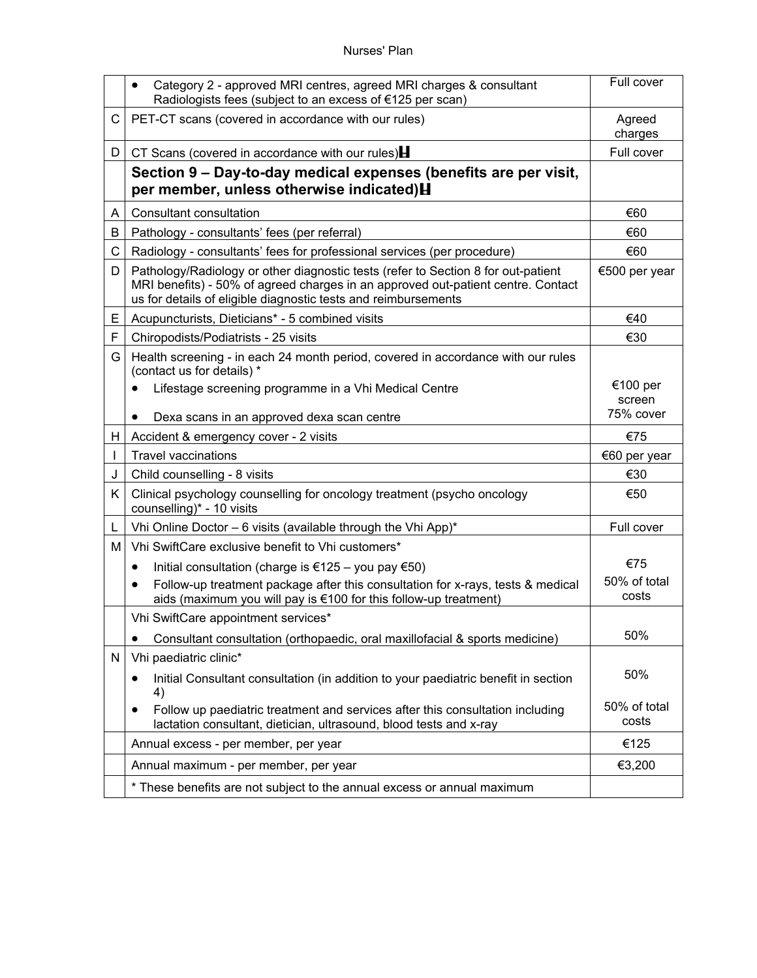## Nurses' Plan

|    | Category 2 - approved MRI centres, agreed MRI charges & consultant<br>$\bullet$<br>Radiologists fees (subject to an excess of €125 per scan)                                                                                            | Full cover            |
|----|-----------------------------------------------------------------------------------------------------------------------------------------------------------------------------------------------------------------------------------------|-----------------------|
| C  | PET-CT scans (covered in accordance with our rules)                                                                                                                                                                                     | Agreed<br>charges     |
| D  | CT Scans (covered in accordance with our rules)                                                                                                                                                                                         | Full cover            |
|    | Section 9 - Day-to-day medical expenses (benefits are per visit,<br>per member, unless otherwise indicated) H                                                                                                                           |                       |
| A  | Consultant consultation                                                                                                                                                                                                                 | €60                   |
| В  | Pathology - consultants' fees (per referral)                                                                                                                                                                                            | €60                   |
| C  | Radiology - consultants' fees for professional services (per procedure)                                                                                                                                                                 | €60                   |
| D  | Pathology/Radiology or other diagnostic tests (refer to Section 8 for out-patient<br>MRI benefits) - 50% of agreed charges in an approved out-patient centre. Contact<br>us for details of eligible diagnostic tests and reimbursements | €500 per year         |
| E  | Acupuncturists, Dieticians* - 5 combined visits                                                                                                                                                                                         | €40                   |
| F  | Chiropodists/Podiatrists - 25 visits                                                                                                                                                                                                    | €30                   |
| G  | Health screening - in each 24 month period, covered in accordance with our rules<br>(contact us for details) *                                                                                                                          |                       |
|    | Lifestage screening programme in a Vhi Medical Centre                                                                                                                                                                                   | €100 per<br>screen    |
|    | Dexa scans in an approved dexa scan centre                                                                                                                                                                                              | 75% cover             |
| H. | Accident & emergency cover - 2 visits                                                                                                                                                                                                   | €75                   |
|    | <b>Travel vaccinations</b>                                                                                                                                                                                                              | €60 per year          |
| J  | Child counselling - 8 visits                                                                                                                                                                                                            | €30                   |
| K. | Clinical psychology counselling for oncology treatment (psycho oncology<br>counselling)* - 10 visits                                                                                                                                    | €50                   |
| L  | Vhi Online Doctor - 6 visits (available through the Vhi App)*                                                                                                                                                                           | Full cover            |
| м  | Vhi SwiftCare exclusive benefit to Vhi customers*                                                                                                                                                                                       |                       |
|    | Initial consultation (charge is €125 – you pay €50)<br>$\bullet$                                                                                                                                                                        | €75                   |
|    | Follow-up treatment package after this consultation for x-rays, tests & medical<br>aids (maximum you will pay is €100 for this follow-up treatment)                                                                                     | 50% of total<br>costs |
|    | Vhi SwiftCare appointment services*                                                                                                                                                                                                     |                       |
|    | Consultant consultation (orthopaedic, oral maxillofacial & sports medicine)                                                                                                                                                             | 50%                   |
| N  | Vhi paediatric clinic*                                                                                                                                                                                                                  |                       |
|    | Initial Consultant consultation (in addition to your paediatric benefit in section<br>4)                                                                                                                                                | 50%                   |
|    | Follow up paediatric treatment and services after this consultation including<br>lactation consultant, dietician, ultrasound, blood tests and x-ray                                                                                     | 50% of total<br>costs |
|    | Annual excess - per member, per year                                                                                                                                                                                                    | €125                  |
|    | Annual maximum - per member, per year                                                                                                                                                                                                   | €3,200                |
|    | * These benefits are not subject to the annual excess or annual maximum                                                                                                                                                                 |                       |